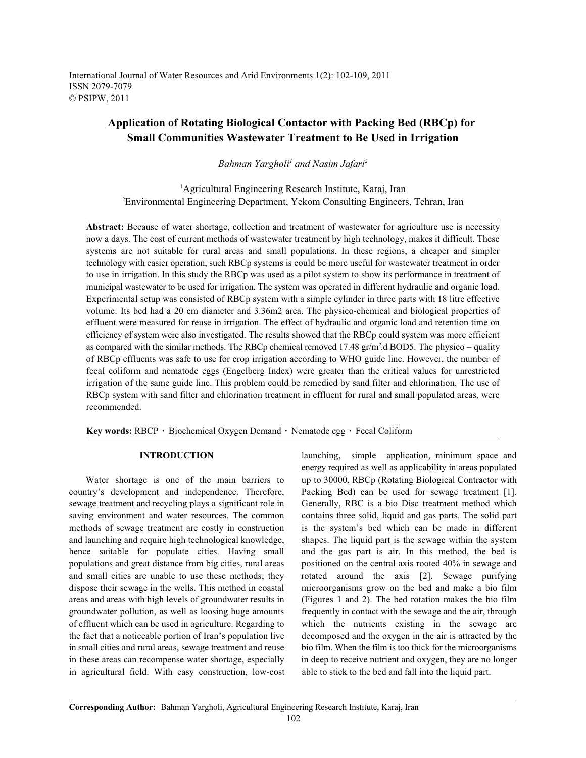International Journal of Water Resources and Arid Environments 1(2): 102-109, 2011 ISSN 2079-7079 © PSIPW, 2011

# **Application of Rotating Biological Contactor with Packing Bed (RBCp) for Small Communities Wastewater Treatment to Be Used in Irrigation**

*Bahman Yargholi<sup>1</sup> and Nasim Jafari<sup>2</sup>* 

<sup>1</sup>Agricultural Engineering Research Institute, Karaj, Iran Environmental Engineering Department, Yekom Consulting Engineers, Tehran, Iran <sup>2</sup>

**Abstract:** Because of water shortage, collection and treatment of wastewater for agriculture use is necessity now a days. The cost of current methods of wastewater treatment by high technology, makes it difficult. These systems are not suitable for rural areas and small populations. In these regions, a cheaper and simpler technology with easier operation, such RBCp systems is could be more useful for wastewater treatment in order to use in irrigation. In this study the RBCp was used as a pilot system to show its performance in treatment of municipal wastewater to be used for irrigation. The system was operated in different hydraulic and organic load. Experimental setup was consisted of RBCp system with a simple cylinder in three parts with 18 litre effective volume. Its bed had a 20 cm diameter and 3.36m2 area. The physico-chemical and biological properties of effluent were measured for reuse in irrigation. The effect of hydraulic and organic load and retention time on efficiency of system were also investigated. The results showed that the RBCp could system was more efficient as compared with the similar methods. The RBCp chemical removed 17.48  $gr/m<sup>2</sup>$ .d BOD5. The physico – quality of RBCp effluents was safe to use for crop irrigation according to WHO guide line. However, the number of fecal coliform and nematode eggs (Engelberg Index) were greater than the critical values for unrestricted irrigation of the same guide line. This problem could be remedied by sand filter and chlorination. The use of RBCp system with sand filter and chlorination treatment in effluent for rural and small populated areas, were recommended.

Key words: RBCP · Biochemical Oxygen Demand · Nematode egg · Fecal Coliform

country's development and independence. Therefore, Packing Bed) can be used for sewage treatment [1]. sewage treatment and recycling plays a significant role in Generally, RBC is a bio Disc treatment method which saving environment and water resources. The common contains three solid, liquid and gas parts. The solid part methods of sewage treatment are costly in construction is the system's bed which can be made in different and launching and require high technological knowledge, shapes. The liquid part is the sewage within the system hence suitable for populate cities. Having small and the gas part is air. In this method, the bed is populations and great distance from big cities, rural areas positioned on the central axis rooted 40% in sewage and and small cities are unable to use these methods; they rotated around the axis [2]. Sewage purifying dispose their sewage in the wells. This method in coastal microorganisms grow on the bed and make a bio film areas and areas with high levels of groundwater results in (Figures 1 and 2). The bed rotation makes the bio film groundwater pollution, as well as loosing huge amounts frequently in contact with the sewage and the air, through of effluent which can be used in agriculture. Regarding to which the nutrients existing in the sewage are the fact that a noticeable portion of Iran's population live decomposed and the oxygen in the air is attracted by the in small cities and rural areas, sewage treatment and reuse bio film. When the film is too thick for the microorganisms in these areas can recompense water shortage, especially in deep to receive nutrient and oxygen, they are no longer in agricultural field. With easy construction, low-cost able to stick to the bed and fall into the liquid part.

**INTRODUCTION** launching, simple application, minimum space and Water shortage is one of the main barriers to up to 30000, RBCp (Rotating Biological Contractor with energy required as well as applicability in areas populated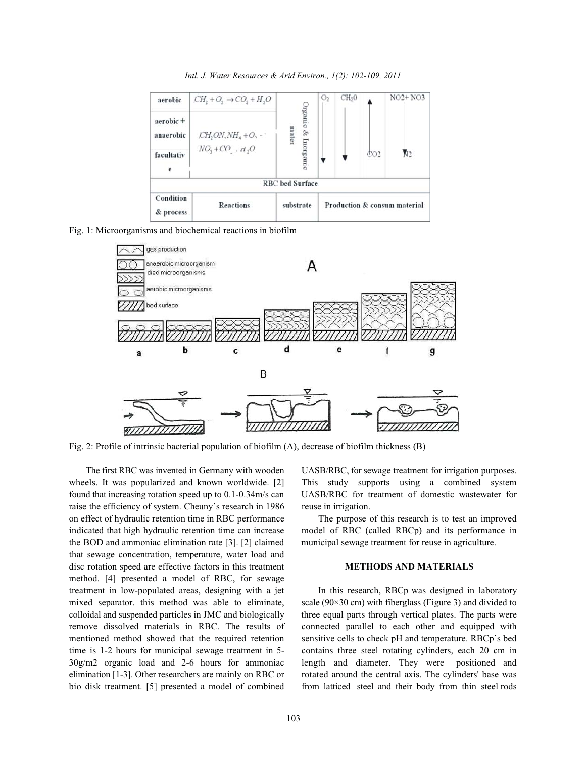*Intl. J. Water Resources & Arid Environ., 1(2): 102-109, 2011*

| Condition<br>& process | <b>Reactions</b>                   | substrate                               | Production & consum material |                   |                 |           |
|------------------------|------------------------------------|-----------------------------------------|------------------------------|-------------------|-----------------|-----------|
|                        |                                    | <b>RBC</b> bed Surface                  |                              |                   |                 |           |
| facultativ<br>e        | $NO_1 + CO$ $H_2O$                 |                                         |                              |                   | CO <sub>2</sub> | đ٦        |
| aerobic +<br>anaerobic | $\mathcal{C}H_2ON, NH_4 + O_2 - 1$ | <b>Diganic &amp; Inorganic</b><br>mater |                              |                   |                 |           |
| aerobic                | $CH2 + O2 \rightarrow CO2 + H2O$   |                                         | O <sub>2</sub>               | CH <sub>2</sub> 0 |                 | $NO2+NO3$ |

Fig. 1: Microorganisms and biochemical reactions in biofilm



Fig. 2: Profile of intrinsic bacterial population of biofilm (A), decrease of biofilm thickness (B)

wheels. It was popularized and known worldwide. [2] This study supports using a combined system found that increasing rotation speed up to 0.1-0.34m/s can UASB/RBC for treatment of domestic wastewater for raise the efficiency of system. Cheuny's research in 1986 reuse in irrigation. on effect of hydraulic retention time in RBC performance The purpose of this research is to test an improved indicated that high hydraulic retention time can increase model of RBC (called RBCp) and its performance in the BOD and ammoniac elimination rate [3]. [2] claimed municipal sewage treatment for reuse in agriculture. that sewage concentration, temperature, water load and disc rotation speed are effective factors in this treatment **METHODS AND MATERIALS** method. [4] presented a model of RBC, for sewage treatment in low-populated areas, designing with a jet In this research, RBCp was designed in laboratory mixed separator. this method was able to eliminate, scale (90×30 cm) with fiberglass (Figure 3) and divided to colloidal and suspended particles in JMC and biologically three equal parts through vertical plates. The parts were remove dissolved materials in RBC. The results of connected parallel to each other and equipped with mentioned method showed that the required retention sensitive cells to check pH and temperature. RBCp's bed time is 1-2 hours for municipal sewage treatment in 5- contains three steel rotating cylinders, each 20 cm in 30g/m2 organic load and 2-6 hours for ammoniac length and diameter. They were positioned and elimination [1-3]. Other researchers are mainly on RBC or rotated around the central axis. The cylinders' base was bio disk treatment. [5] presented a model of combined from latticed steel and their body from thin steel rods

The first RBC was invented in Germany with wooden UASB/RBC, for sewage treatment for irrigation purposes.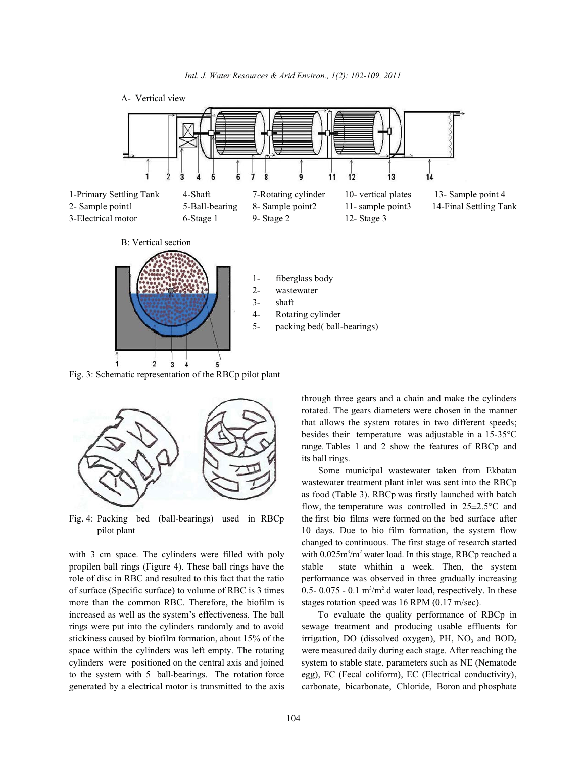

Fig. 3: Schematic representation of the RBCp pilot plant



propilen ball rings (Figure 4). These ball rings have the stable state whithin a week. Then, the system role of disc in RBC and resulted to this fact that the ratio performance was observed in three gradually increasing of surface (Specific surface) to volume of RBC is 3 times more than the common RBC. Therefore, the biofilm is stages rotation speed was 16 RPM (0.17 m/sec). increased as well as the system's effectiveness. The ball To evaluate the quality performance of RBCp in rings were put into the cylinders randomly and to avoid sewage treatment and producing usable effluents for stickiness caused by biofilm formation, about 15% of the space within the cylinders was left empty. The rotating were measured daily during each stage. After reaching the cylinders were positioned on the central axis and joined system to stable state, parameters such as NE (Nematode to the system with 5 ball-bearings. The rotation force egg), FC (Fecal coliform), EC (Electrical conductivity), generated by a electrical motor is transmitted to the axis carbonate, bicarbonate, Chloride, Boron and phosphate

through three gears and a chain and make the cylinders rotated. The gears diameters were chosen in the manner that allows the system rotates in two different speeds; besides their temperature was adjustable in a 15-35°C range. Tables 1 and 2 show the features of RBCp and its ball rings.

Fig. 4: Packing bed (ball-bearings) used in RBCp the first bio films were formed on the bed surface after pilot plant 10 days. Due to bio film formation, the system flow with 3 cm space. The cylinders were filled with poly with  $0.025 \text{m}^3/\text{m}^2$  water load. In this stage, RBCp reached a Some municipal wastewater taken from Ekbatan wastewater treatment plant inlet was sent into the RBCp as food (Table 3). RBCp was firstly launched with batch flow, the temperature was controlled in  $25 \pm 2.5^{\circ}$ C and changed to continuous. The first stage of research started 0.5- 0.075 - 0.1  $m^3/m^2$  water load, respectively. In these

irrigation, DO (dissolved oxygen), PH,  $NO<sub>3</sub>$  and  $BOD<sub>5</sub>$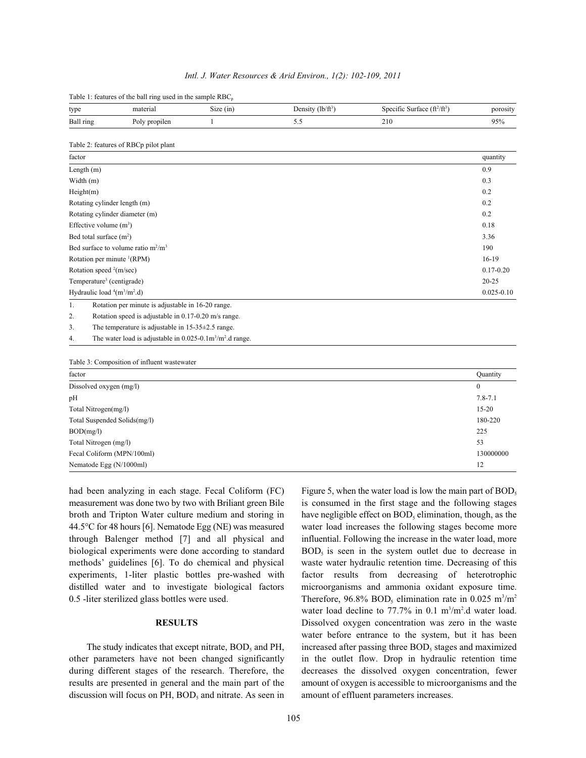|  |  | Intl. J. Water Resources & Arid Environ., 1(2): 102-109, 2011 |  |  |  |
|--|--|---------------------------------------------------------------|--|--|--|
|--|--|---------------------------------------------------------------|--|--|--|

Table 1: features of the ball ring used in the sample RBC

| type                                   | material                                                                             | Size (in)    | Density $(lb/ft^3)$ | Specific Surface $(ft^2/ft^3)$ | porosity       |
|----------------------------------------|--------------------------------------------------------------------------------------|--------------|---------------------|--------------------------------|----------------|
| Ball ring                              | Poly propilen                                                                        | $\mathbf{1}$ | 5.5                 | 210                            | 95%            |
|                                        | Table 2: features of RBCp pilot plant                                                |              |                     |                                |                |
| factor                                 |                                                                                      |              |                     |                                | quantity       |
| Length (m)                             |                                                                                      |              |                     |                                | 0.9            |
| Width (m)                              |                                                                                      |              |                     |                                | 0.3            |
| Height(m)                              |                                                                                      |              |                     |                                | 0.2            |
| Rotating cylinder length (m)           |                                                                                      |              |                     |                                | 0.2            |
|                                        | Rotating cylinder diameter (m)                                                       |              |                     |                                | 0.2            |
| Effective volume $(m^3)$               |                                                                                      |              |                     |                                | 0.18           |
| Bed total surface $(m2)$               |                                                                                      |              |                     |                                | 3.36           |
|                                        | Bed surface to volume ratio $m^2/m^3$                                                |              |                     |                                | 190            |
| Rotation per minute <sup>1</sup> (RPM) |                                                                                      |              |                     |                                | $16-19$        |
|                                        | Rotation speed <sup>2</sup> (m/sec)                                                  |              |                     |                                |                |
|                                        | Temperature <sup>3</sup> (centigrade)                                                |              |                     |                                |                |
| Hydraulic load $(4m^3/m^2.d)$          |                                                                                      |              |                     |                                | $0.025 - 0.10$ |
| 1.                                     | Rotation per minute is adjustable in 16-20 range.                                    |              |                     |                                |                |
| 2.                                     | Rotation speed is adjustable in 0.17-0.20 m/s range.                                 |              |                     |                                |                |
| 3.                                     | The temperature is adjustable in $15-35\pm2.5$ range.                                |              |                     |                                |                |
| 4.                                     | The water load is adjustable in $0.025$ -0.1m <sup>3</sup> /m <sup>2</sup> .d range. |              |                     |                                |                |
|                                        | Table 3: Composition of influent wastewater                                          |              |                     |                                |                |
| factor                                 |                                                                                      |              |                     |                                | Quantity       |
| Dissolved oxygen (mg/l)                |                                                                                      |              |                     |                                | $\theta$       |
| pH                                     |                                                                                      |              |                     |                                | $7.8 - 7.1$    |
|                                        | Total Nitrogen(mg/l)                                                                 |              |                     |                                |                |
| Total Suspended Solids(mg/l)           |                                                                                      |              |                     |                                | 180-220        |
| BOD(mg/l)                              |                                                                                      |              |                     |                                | 225            |
| Total Nitrogen (mg/l)                  |                                                                                      |              |                     |                                | 53             |
| Fecal Coliform (MPN/100ml)             |                                                                                      |              |                     |                                | 130000000      |
| Nematode Egg (N/1000ml)                |                                                                                      |              |                     |                                | 12             |

had been analyzing in each stage. Fecal Coliform (FC) measurement was done two by two with Briliant green Bile is consumed in the first stage and the following stages broth and Tripton Water culture medium and storing in have negligible effect on  $BOD_5$  elimination, though, as the 44.5°C for 48 hours [6]. Nematode Egg (NE) was measured water load increases the following stages become more through Balenger method [7] and all physical and influential. Following the increase in the water load, more biological experiments were done according to standard  $BOD<sub>s</sub>$  is seen in the system outlet due to decrease in methods' guidelines [6]. To do chemical and physical waste water hydraulic retention time. Decreasing of this experiments, 1-liter plastic bottles pre-washed with factor results from decreasing of heterotrophic distilled water and to investigate biological factors microorganisms and ammonia oxidant exposure time.

discussion will focus on PH,  $BOD<sub>5</sub>$  and nitrate. As seen in amount of effluent parameters increases.

0.5 -liter sterilized glass bottles were used. Therefore,  $96.8\%$  BOD<sub>s</sub> elimination rate in 0.025 m<sup>3</sup>/m<sup>2</sup> **RESULTS** Dissolved oxygen concentration was zero in the waste The study indicates that except nitrate,  $BOD<sub>s</sub>$  and PH, increased after passing three  $BOD<sub>s</sub>$  stages and maximized other parameters have not been changed significantly in the outlet flow. Drop in hydraulic retention time during different stages of the research. Therefore, the decreases the dissolved oxygen concentration, fewer results are presented in general and the main part of the amount of oxygen is accessible to microorganisms and the Figure 5, when the water load is low the main part of  $BOD<sub>s</sub>$ water load decline to  $77.7\%$  in 0.1 m<sup>3</sup>/m<sup>2</sup>.d water load. water before entrance to the system, but it has been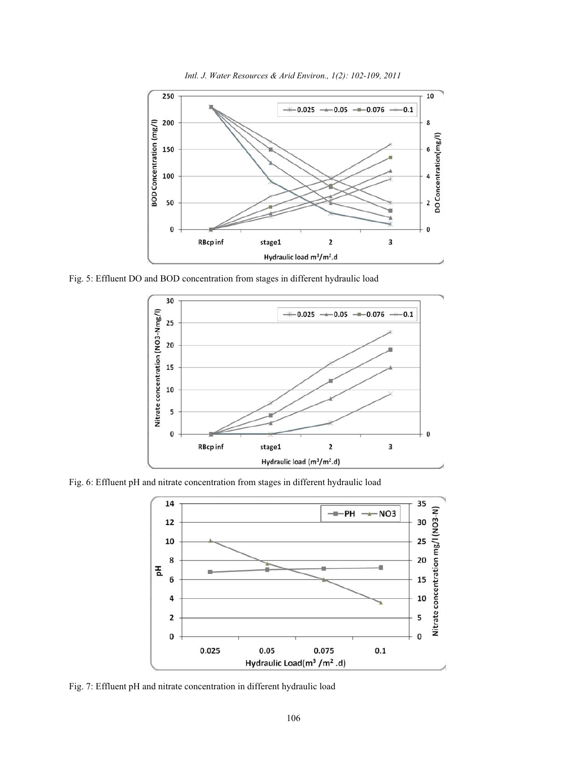

*Intl. J. Water Resources & Arid Environ., 1(2): 102-109, 2011*

Fig. 5: Effluent DO and BOD concentration from stages in different hydraulic load



Fig. 6: Effluent pH and nitrate concentration from stages in different hydraulic load



Fig. 7: Effluent pH and nitrate concentration in different hydraulic load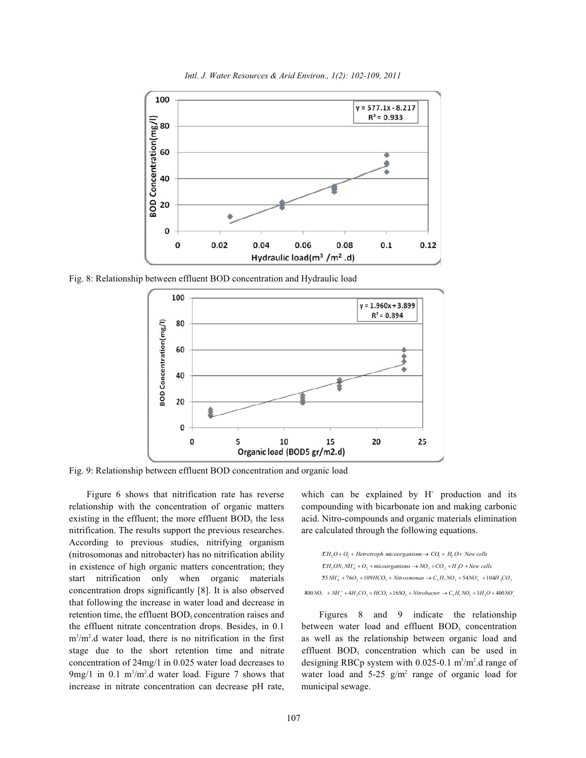



Fig. 8: Relationship between effluent BOD concentration and Hydraulic load



Fig. 9: Relationship between effluent BOD concentration and organic load

relationship with the concentration of organic matters compounding with bicarbonate ion and making carbonic existing in the effluent; the more effluent  $BOD<sub>s</sub>$  the less acid. Nitro-compounds and organic materials elimination nitrification. The results support the previous researches. are calculated through the following equations. According to previous studies, nitrifying organism (nitrosomonas and nitrobacter) has no nitrification ability in existence of high organic matters concentration; they start nitrification only when organic materials concentration drops significantly [8]. It is also observed that following the increase in water load and decrease in retention time, the effluent  $BOD_5$  concentration raises and  $5$  Figures 8 and 9 indicate the relationship the effluent nitrate concentration drops. Besides, in 0.1 between water load and effluent  $BOD<sub>5</sub>$  concentration  $m<sup>3</sup>/m<sup>2</sup>$ .d water load, there is no nitrification in the first as well as the relationship between organic load and stage due to the short retention time and nitrate effluent  $BOD<sub>s</sub>$  concentration which can be used in concentration of 24mg/1 in 0.025 water load decreases to designing RBCp system with 0.025-0.1 m<sup>3</sup>/m<sup>2</sup>.d range of  $9 \text{mg}/1$  in 0.1 m<sup>3</sup>/m<sup>2</sup>.d water load. Figure 7 shows that water load and 5-25 g/m<sup>2</sup> range of organic load for increase in nitrate concentration can decrease pH rate, municipal sewage.

Figure 6 shows that nitrification rate has reverse which can be explained by  $H^+$  production and its

$$
\mathcal{L}H_1O + O_2 + Hetrotroph \text{ microorganisms} \rightarrow CQ_1 + H_2O + New cells
$$
\n
$$
\mathcal{L}H_2ON, NH_4^* + O_2 + \text{microorganisms} \rightarrow NO_3 + CO_2 + H_2O + New cells
$$
\n
$$
35 NH_4^* + 76O_2 + 109HCO_3 + \text{Nitrosmonas} \rightarrow C_5H_7NO_2 + 54NO_2^- + 104H_2CO_3
$$
\n
$$
400 NO_2^- + NH_4^* + 4H_2CO_3 + HCO_3 + 165O_2 + \text{Nitrobacter} \rightarrow C_5H_7NO_2 + 3H_2O + 400 NO_2^-
$$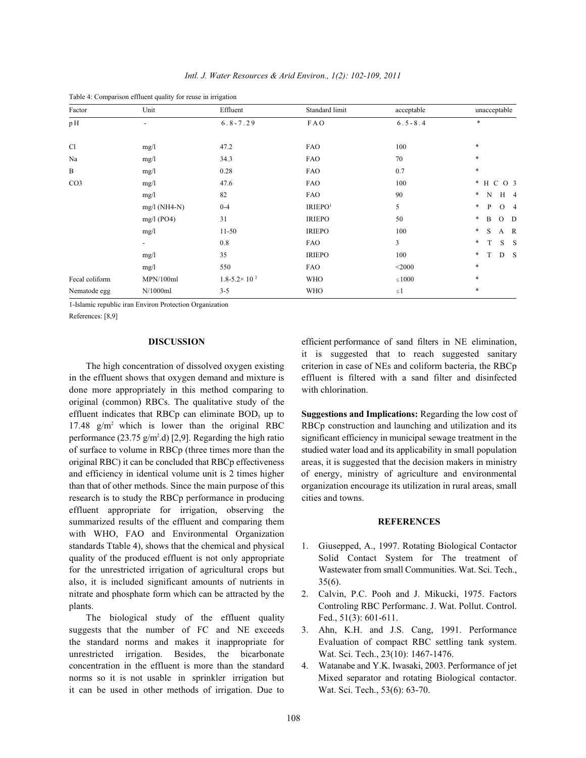| Factor           | Unit                     | Effluent                   | Standard limit      | acceptable     | unacceptable               |  |
|------------------|--------------------------|----------------------------|---------------------|----------------|----------------------------|--|
| pH               | $\overline{\phantom{a}}$ | $6.8 - 7.29$               | FAO                 | $6.5 - 8.4$    | $\ast$                     |  |
|                  |                          |                            |                     |                |                            |  |
| C1               | mg/1                     | 47.2                       | <b>FAO</b>          | 100            | $\ast$                     |  |
| Na               | mg/1                     | 34.3                       | <b>FAO</b>          | 70             | $\ast$                     |  |
| $\boldsymbol{B}$ | mg/1                     | 0.28                       | <b>FAO</b>          | 0.7            | $\ast$                     |  |
| CO <sub>3</sub>  | mg/1                     | 47.6                       | <b>FAO</b>          | 100            | * H C O 3                  |  |
|                  | mg/1                     | 82                         | <b>FAO</b>          | 90             | $\ast$<br>N<br>$H_4$       |  |
|                  | $mg/l$ (NH4-N)           | $0 - 4$                    | IRIEPO <sup>1</sup> | 5              | $*$<br>P<br>O <sub>4</sub> |  |
|                  | $mg/l$ (PO4)             | 31                         | <b>IRIEPO</b>       | 50             | *<br>B<br>$O$ D            |  |
|                  | mg/l                     | $11 - 50$                  | <b>IRIEPO</b>       | 100            | $\ast$<br>S<br>A R         |  |
|                  | $\overline{\phantom{a}}$ | 0.8                        | <b>FAO</b>          | $\overline{3}$ | $\ast$<br>$S$ $S$<br>Т     |  |
|                  | mg/1                     | 35                         | <b>IRIEPO</b>       | 100            | $\ast$<br>D S<br>T         |  |
|                  | mg/1                     | 550                        | <b>FAO</b>          | $<$ 2000       | $\ast$                     |  |
| Fecal coliform   | MPN/100ml                | $1.8 - 5.2 \times 10^{-2}$ | <b>WHO</b>          | $\leq 1000$    | $\ast$                     |  |
| Nematode egg     | N/1000ml                 | $3 - 5$                    | <b>WHO</b>          | $\leq$ 1       | $\ast$                     |  |

*Intl. J. Water Resources & Arid Environ., 1(2): 102-109, 2011*

Table 4: Comparison effluent quality for reuse in irrigation

1-Islamic republic iran Environ Protection Organization

References: [8,9]

in the effluent shows that oxygen demand and mixture is effluent is filtered with a sand filter and disinfected done more appropriately in this method comparing to with chlorination. original (common) RBCs. The qualitative study of the effluent indicates that RBCp can eliminate BOD<sub>5</sub> up to **Suggestions and Implications:** Regarding the low cost of 17.48  $g/m^2$  which is lower than the original RBC RBCp construction and launching and utilization and its performance (23.75 g/m<sup>2</sup>.d) [2,9]. Regarding the high ratio significant efficiency in municipal sewage treatment in the of surface to volume in RBCp (three times more than the studied water load and its applicability in small population original RBC) it can be concluded that RBCp effectiveness areas, it is suggested that the decision makers in ministry and efficiency in identical volume unit is 2 times higher of energy, ministry of agriculture and environmental than that of other methods. Since the main purpose of this organization encourage its utilization in rural areas, small research is to study the RBCp performance in producing cities and towns. effluent appropriate for irrigation, observing the summarized results of the effluent and comparing them **REFERENCES** with WHO, FAO and Environmental Organization standards Ttable 4), shows that the chemical and physical 1. Giusepped, A., 1997. Rotating Biological Contactor quality of the produced effluent is not only appropriate Solid Contact System for The treatment of for the unrestricted irrigation of agricultural crops but Wastewater from small Communities. Wat. Sci. Tech., also, it is included significant amounts of nutrients in 35(6). nitrate and phosphate form which can be attracted by the 2. Calvin, P.C. Pooh and J. Mikucki, 1975. Factors plants. Controling RBC Performanc. J. Wat. Pollut. Control.

The biological study of the effluent quality Fed., 51(3): 601-611. suggests that the number of FC and NE exceeds 3. Ahn, K.H. and J.S. Cang, 1991. Performance the standard norms and makes it inappropriate for Evaluation of compact RBC settling tank system. unrestricted irrigation. Besides, the bicarbonate Wat. Sci. Tech., 23(10): 1467-1476. concentration in the effluent is more than the standard 4. Watanabe and Y.K. Iwasaki, 2003. Performance of jet norms so it is not usable in sprinkler irrigation but Mixed separator and rotating Biological contactor. it can be used in other methods of irrigation. Due to Wat. Sci. Tech., 53(6): 63-70.

**DISCUSSION** efficient performance of sand filters in NE elimination, The high concentration of dissolved oxygen existing criterion in case of NEs and coliform bacteria, the RBCp it is suggested that to reach suggested sanitary

- 
- 
- 
-